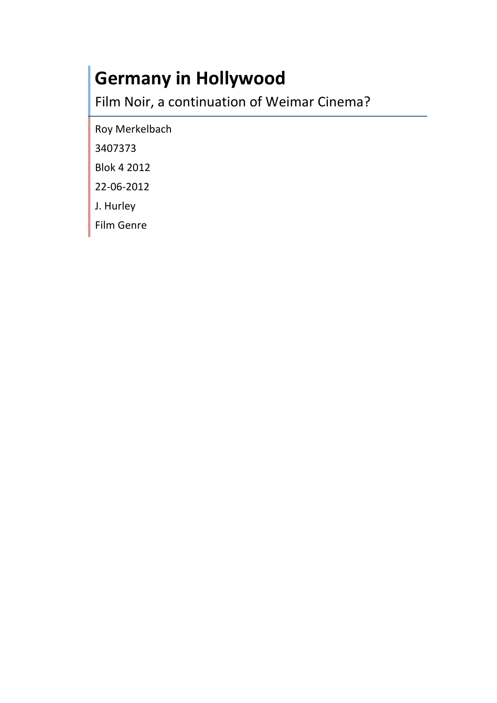# **Germany in Hollywood**

Film Noir, a continuation of Weimar Cinema?

Roy Merkelbach

3407373

Blok 4 2012

22-06-2012

J. Hurley

Film Genre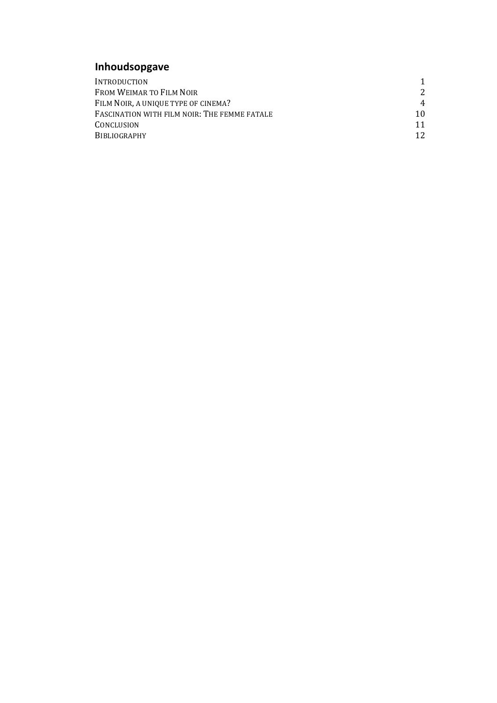## **Inhoudsopgave**

| INTRODUCTION                                 |               |
|----------------------------------------------|---------------|
| FROM WEIMAR TO FILM NOIR                     | $\mathcal{L}$ |
| FILM NOIR, A UNIQUE TYPE OF CINEMA?          | 4             |
| FASCINATION WITH FILM NOIR: THE FEMME FATALE | 10.           |
| CONCLUSION                                   | 11            |
| <b>BIBLIOGRAPHY</b>                          | 12            |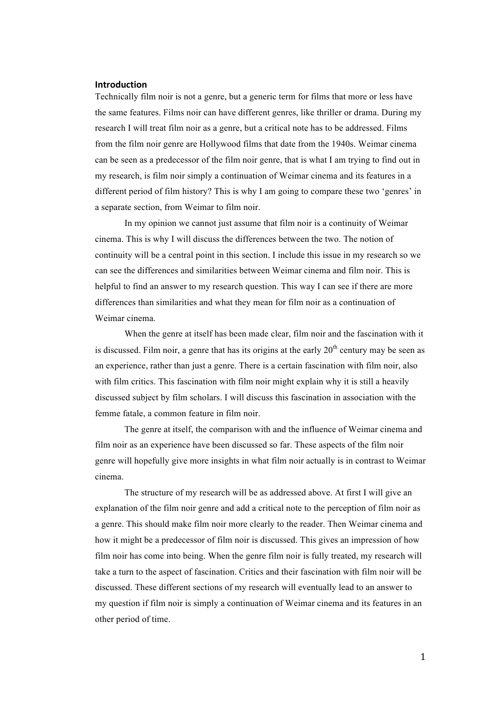#### **Introduction**

Technically film noir is not a genre, but a generic term for films that more or less have the same features. Films noir can have different genres, like thriller or drama. During my research I will treat film noir as a genre, but a critical note has to be addressed. Films from the film noir genre are Hollywood films that date from the 1940s. Weimar cinema can be seen as a predecessor of the film noir genre, that is what I am trying to find out in my research, is film noir simply a continuation of Weimar cinema and its features in a different period of film history? This is why I am going to compare these two 'genres' in a separate section, from Weimar to film noir.

In my opinion we cannot just assume that film noir is a continuity of Weimar cinema. This is why I will discuss the differences between the two. The notion of continuity will be a central point in this section. I include this issue in my research so we can see the differences and similarities between Weimar cinema and film noir. This is helpful to find an answer to my research question. This way I can see if there are more differences than similarities and what they mean for film noir as a continuation of Weimar cinema.

When the genre at itself has been made clear, film noir and the fascination with it is discussed. Film noir, a genre that has its origins at the early  $20<sup>th</sup>$  century may be seen as an experience, rather than just a genre. There is a certain fascination with film noir, also with film critics. This fascination with film noir might explain why it is still a heavily discussed subject by film scholars. I will discuss this fascination in association with the femme fatale, a common feature in film noir.

The genre at itself, the comparison with and the influence of Weimar cinema and film noir as an experience have been discussed so far. These aspects of the film noir genre will hopefully give more insights in what film noir actually is in contrast to Weimar cinema.

The structure of my research will be as addressed above. At first I will give an explanation of the film noir genre and add a critical note to the perception of film noir as a genre. This should make film noir more clearly to the reader. Then Weimar cinema and how it might be a predecessor of film noir is discussed. This gives an impression of how film noir has come into being. When the genre film noir is fully treated, my research will take a turn to the aspect of fascination. Critics and their fascination with film noir will be discussed. These different sections of my research will eventually lead to an answer to my question if film noir is simply a continuation of Weimar cinema and its features in an other period of time.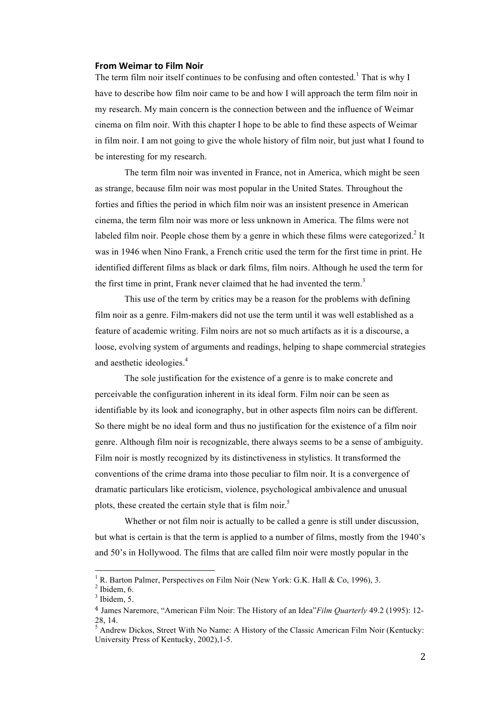#### **From Weimar to Film Noir**

The term film noir itself continues to be confusing and often contested.<sup>1</sup> That is why I have to describe how film noir came to be and how I will approach the term film noir in my research. My main concern is the connection between and the influence of Weimar cinema on film noir. With this chapter I hope to be able to find these aspects of Weimar in film noir. I am not going to give the whole history of film noir, but just what I found to be interesting for my research.

The term film noir was invented in France, not in America, which might be seen as strange, because film noir was most popular in the United States. Throughout the forties and fifties the period in which film noir was an insistent presence in American cinema, the term film noir was more or less unknown in America. The films were not labeled film noir. People chose them by a genre in which these films were categorized.<sup>2</sup> It was in 1946 when Nino Frank, a French critic used the term for the first time in print. He identified different films as black or dark films, film noirs. Although he used the term for the first time in print, Frank never claimed that he had invented the term.<sup>3</sup>

This use of the term by critics may be a reason for the problems with defining film noir as a genre. Film-makers did not use the term until it was well established as a feature of academic writing. Film noirs are not so much artifacts as it is a discourse, a loose, evolving system of arguments and readings, helping to shape commercial strategies and aesthetic ideologies.<sup>4</sup>

The sole justification for the existence of a genre is to make concrete and perceivable the configuration inherent in its ideal form. Film noir can be seen as identifiable by its look and iconography, but in other aspects film noirs can be different. So there might be no ideal form and thus no justification for the existence of a film noir genre. Although film noir is recognizable, there always seems to be a sense of ambiguity. Film noir is mostly recognized by its distinctiveness in stylistics. It transformed the conventions of the crime drama into those peculiar to film noir. It is a convergence of dramatic particulars like eroticism, violence, psychological ambivalence and unusual plots, these created the certain style that is film noir.<sup>5</sup>

Whether or not film noir is actually to be called a genre is still under discussion, but what is certain is that the term is applied to a number of films, mostly from the 1940's and 50's in Hollywood. The films that are called film noir were mostly popular in the

R. Barton Palmer, Perspectives on Film Noir (New York: G.K. Hall & Co, 1996), 3.

 $<sup>2</sup>$  Ibidem, 6.</sup>

 $3$  Ibidem, 5.

<sup>4</sup> James Naremore, "American Film Noir: The History of an Idea"*Film Quarterly* 49.2 (1995): 12- 28, 14.

<sup>&</sup>lt;sup>5</sup> Andrew Dickos, Street With No Name: A History of the Classic American Film Noir (Kentucky: University Press of Kentucky, 2002),1-5.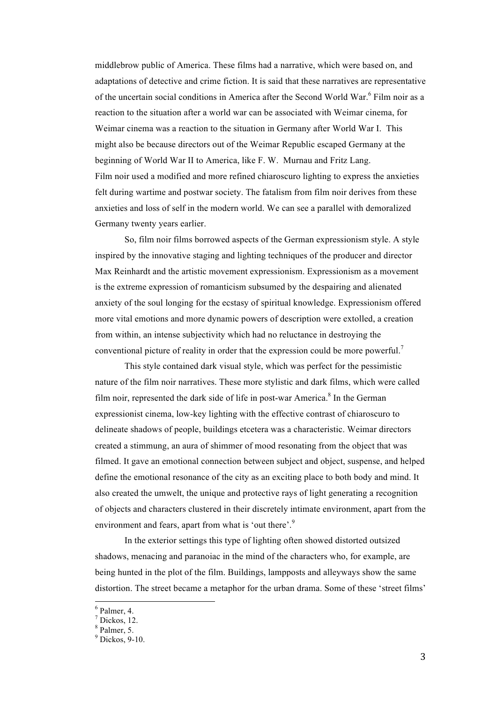middlebrow public of America. These films had a narrative, which were based on, and adaptations of detective and crime fiction. It is said that these narratives are representative of the uncertain social conditions in America after the Second World War. $6$  Film noir as a reaction to the situation after a world war can be associated with Weimar cinema, for Weimar cinema was a reaction to the situation in Germany after World War I. This might also be because directors out of the Weimar Republic escaped Germany at the beginning of World War II to America, like F. W. Murnau and Fritz Lang. Film noir used a modified and more refined chiaroscuro lighting to express the anxieties felt during wartime and postwar society. The fatalism from film noir derives from these anxieties and loss of self in the modern world. We can see a parallel with demoralized Germany twenty years earlier.

So, film noir films borrowed aspects of the German expressionism style. A style inspired by the innovative staging and lighting techniques of the producer and director Max Reinhardt and the artistic movement expressionism. Expressionism as a movement is the extreme expression of romanticism subsumed by the despairing and alienated anxiety of the soul longing for the ecstasy of spiritual knowledge. Expressionism offered more vital emotions and more dynamic powers of description were extolled, a creation from within, an intense subjectivity which had no reluctance in destroying the conventional picture of reality in order that the expression could be more powerful.<sup>7</sup>

This style contained dark visual style, which was perfect for the pessimistic nature of the film noir narratives. These more stylistic and dark films, which were called film noir, represented the dark side of life in post-war America.<sup>8</sup> In the German expressionist cinema, low-key lighting with the effective contrast of chiaroscuro to delineate shadows of people, buildings etcetera was a characteristic. Weimar directors created a stimmung, an aura of shimmer of mood resonating from the object that was filmed. It gave an emotional connection between subject and object, suspense, and helped define the emotional resonance of the city as an exciting place to both body and mind. It also created the umwelt, the unique and protective rays of light generating a recognition of objects and characters clustered in their discretely intimate environment, apart from the environment and fears, apart from what is 'out there'.<sup>9</sup>

In the exterior settings this type of lighting often showed distorted outsized shadows, menacing and paranoiac in the mind of the characters who, for example, are being hunted in the plot of the film. Buildings, lampposts and alleyways show the same distortion. The street became a metaphor for the urban drama. Some of these 'street films'

 $6$  Palmer, 4.

 $<sup>7</sup>$  Dickos, 12.</sup>

<sup>8</sup> Palmer, 5.

 $9^9$  Dickos, 9-10.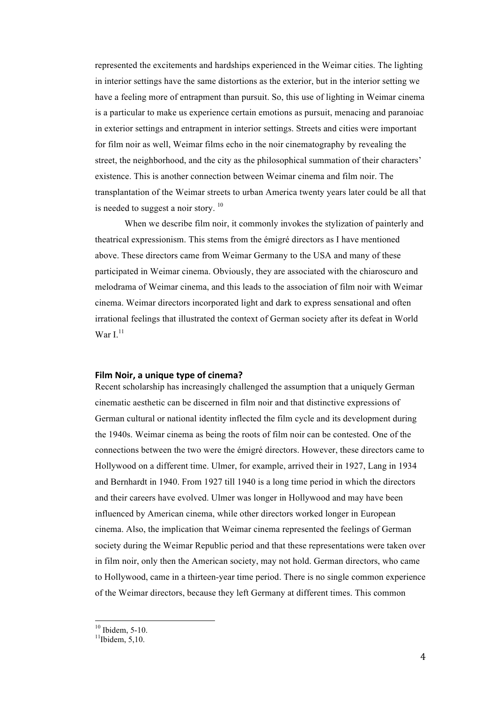represented the excitements and hardships experienced in the Weimar cities. The lighting in interior settings have the same distortions as the exterior, but in the interior setting we have a feeling more of entrapment than pursuit. So, this use of lighting in Weimar cinema is a particular to make us experience certain emotions as pursuit, menacing and paranoiac in exterior settings and entrapment in interior settings. Streets and cities were important for film noir as well, Weimar films echo in the noir cinematography by revealing the street, the neighborhood, and the city as the philosophical summation of their characters' existence. This is another connection between Weimar cinema and film noir. The transplantation of the Weimar streets to urban America twenty years later could be all that is needed to suggest a noir story.  $10$ 

When we describe film noir, it commonly invokes the stylization of painterly and theatrical expressionism. This stems from the émigré directors as I have mentioned above. These directors came from Weimar Germany to the USA and many of these participated in Weimar cinema. Obviously, they are associated with the chiaroscuro and melodrama of Weimar cinema, and this leads to the association of film noir with Weimar cinema. Weimar directors incorporated light and dark to express sensational and often irrational feelings that illustrated the context of German society after its defeat in World War  $L^{11}$ 

#### Film Noir, a unique type of cinema?

Recent scholarship has increasingly challenged the assumption that a uniquely German cinematic aesthetic can be discerned in film noir and that distinctive expressions of German cultural or national identity inflected the film cycle and its development during the 1940s. Weimar cinema as being the roots of film noir can be contested. One of the connections between the two were the émigré directors. However, these directors came to Hollywood on a different time. Ulmer, for example, arrived their in 1927, Lang in 1934 and Bernhardt in 1940. From 1927 till 1940 is a long time period in which the directors and their careers have evolved. Ulmer was longer in Hollywood and may have been influenced by American cinema, while other directors worked longer in European cinema. Also, the implication that Weimar cinema represented the feelings of German society during the Weimar Republic period and that these representations were taken over in film noir, only then the American society, may not hold. German directors, who came to Hollywood, came in a thirteen-year time period. There is no single common experience of the Weimar directors, because they left Germany at different times. This common

 $^{10}$  Ibidem, 5-10.<br> $^{11}$ Ibidem, 5,10.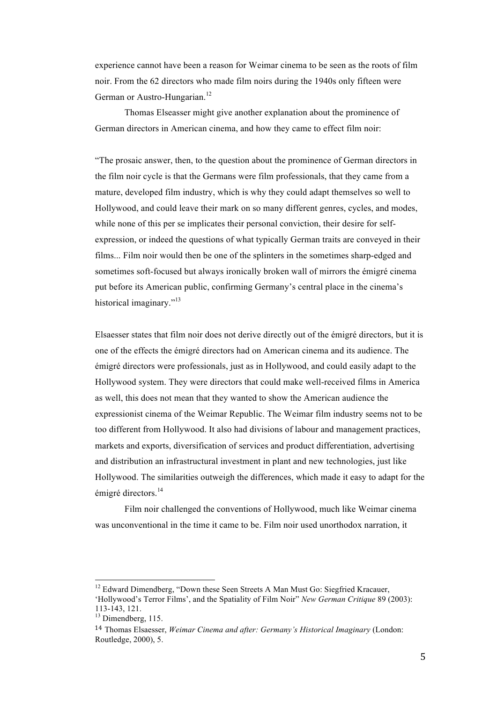experience cannot have been a reason for Weimar cinema to be seen as the roots of film noir. From the 62 directors who made film noirs during the 1940s only fifteen were German or Austro-Hungarian.<sup>12</sup>

Thomas Elseasser might give another explanation about the prominence of German directors in American cinema, and how they came to effect film noir:

"The prosaic answer, then, to the question about the prominence of German directors in the film noir cycle is that the Germans were film professionals, that they came from a mature, developed film industry, which is why they could adapt themselves so well to Hollywood, and could leave their mark on so many different genres, cycles, and modes, while none of this per se implicates their personal conviction, their desire for selfexpression, or indeed the questions of what typically German traits are conveyed in their films... Film noir would then be one of the splinters in the sometimes sharp-edged and sometimes soft-focused but always ironically broken wall of mirrors the émigré cinema put before its American public, confirming Germany's central place in the cinema's historical imaginary."<sup>13</sup>

Elsaesser states that film noir does not derive directly out of the émigré directors, but it is one of the effects the émigré directors had on American cinema and its audience. The émigré directors were professionals, just as in Hollywood, and could easily adapt to the Hollywood system. They were directors that could make well-received films in America as well, this does not mean that they wanted to show the American audience the expressionist cinema of the Weimar Republic. The Weimar film industry seems not to be too different from Hollywood. It also had divisions of labour and management practices, markets and exports, diversification of services and product differentiation, advertising and distribution an infrastructural investment in plant and new technologies, just like Hollywood. The similarities outweigh the differences, which made it easy to adapt for the émigré directors.<sup>14</sup>

Film noir challenged the conventions of Hollywood, much like Weimar cinema was unconventional in the time it came to be. Film noir used unorthodox narration, it

<sup>&</sup>lt;sup>12</sup> Edward Dimendberg, "Down these Seen Streets A Man Must Go: Siegfried Kracauer, 'Hollywood's Terror Films', and the Spatiality of Film Noir" *New German Critique* 89 (2003):

 $13$  Dimendberg, 115.

<sup>14</sup> Thomas Elsaesser, *Weimar Cinema and after: Germany's Historical Imaginary* (London: Routledge, 2000), 5.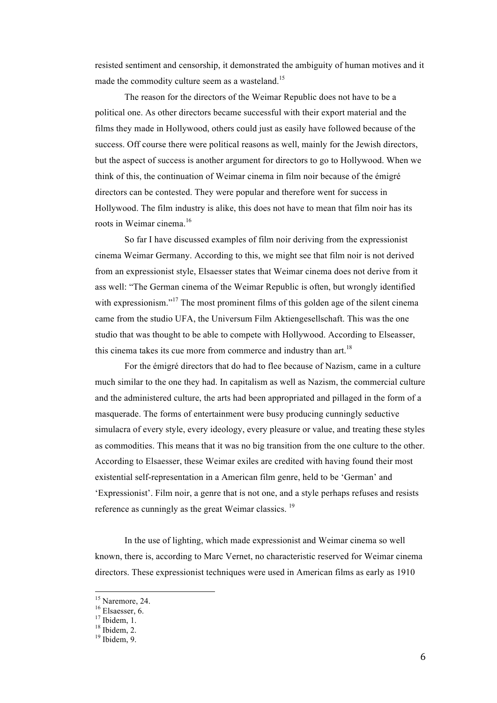resisted sentiment and censorship, it demonstrated the ambiguity of human motives and it made the commodity culture seem as a wasteland.<sup>15</sup>

The reason for the directors of the Weimar Republic does not have to be a political one. As other directors became successful with their export material and the films they made in Hollywood, others could just as easily have followed because of the success. Off course there were political reasons as well, mainly for the Jewish directors, but the aspect of success is another argument for directors to go to Hollywood. When we think of this, the continuation of Weimar cinema in film noir because of the émigré directors can be contested. They were popular and therefore went for success in Hollywood. The film industry is alike, this does not have to mean that film noir has its roots in Weimar cinema.<sup>16</sup>

So far I have discussed examples of film noir deriving from the expressionist cinema Weimar Germany. According to this, we might see that film noir is not derived from an expressionist style, Elsaesser states that Weimar cinema does not derive from it ass well: "The German cinema of the Weimar Republic is often, but wrongly identified with expressionism."<sup>17</sup> The most prominent films of this golden age of the silent cinema came from the studio UFA, the Universum Film Aktiengesellschaft. This was the one studio that was thought to be able to compete with Hollywood. According to Elseasser, this cinema takes its cue more from commerce and industry than art.<sup>18</sup>

For the émigré directors that do had to flee because of Nazism, came in a culture much similar to the one they had. In capitalism as well as Nazism, the commercial culture and the administered culture, the arts had been appropriated and pillaged in the form of a masquerade. The forms of entertainment were busy producing cunningly seductive simulacra of every style, every ideology, every pleasure or value, and treating these styles as commodities. This means that it was no big transition from the one culture to the other. According to Elsaesser, these Weimar exiles are credited with having found their most existential self-representation in a American film genre, held to be 'German' and 'Expressionist'. Film noir, a genre that is not one, and a style perhaps refuses and resists reference as cunningly as the great Weimar classics.<sup>19</sup>

In the use of lighting, which made expressionist and Weimar cinema so well known, there is, according to Marc Vernet, no characteristic reserved for Weimar cinema directors. These expressionist techniques were used in American films as early as 1910

<sup>&</sup>lt;sup>15</sup> Naremore, 24.<br><sup>16</sup> Elsaesser, 6.<br><sup>17</sup> Ibidem, 1.<br><sup>18</sup> Ibidem, 2.<br><sup>19</sup> Ibidem, 9.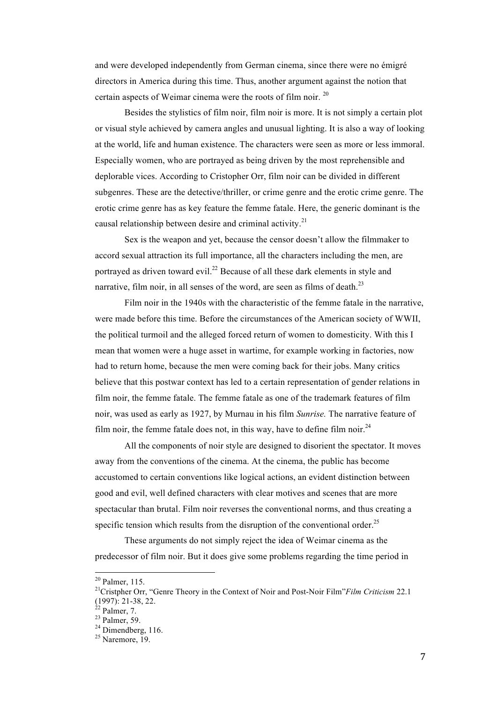and were developed independently from German cinema, since there were no émigré directors in America during this time. Thus, another argument against the notion that certain aspects of Weimar cinema were the roots of film noir. <sup>20</sup>

Besides the stylistics of film noir, film noir is more. It is not simply a certain plot or visual style achieved by camera angles and unusual lighting. It is also a way of looking at the world, life and human existence. The characters were seen as more or less immoral. Especially women, who are portrayed as being driven by the most reprehensible and deplorable vices. According to Cristopher Orr, film noir can be divided in different subgenres. These are the detective/thriller, or crime genre and the erotic crime genre. The erotic crime genre has as key feature the femme fatale. Here, the generic dominant is the causal relationship between desire and criminal activity.<sup>21</sup>

Sex is the weapon and yet, because the censor doesn't allow the filmmaker to accord sexual attraction its full importance, all the characters including the men, are portrayed as driven toward evil.<sup>22</sup> Because of all these dark elements in style and narrative, film noir, in all senses of the word, are seen as films of death.<sup>23</sup>

Film noir in the 1940s with the characteristic of the femme fatale in the narrative, were made before this time. Before the circumstances of the American society of WWII, the political turmoil and the alleged forced return of women to domesticity. With this I mean that women were a huge asset in wartime, for example working in factories, now had to return home, because the men were coming back for their jobs. Many critics believe that this postwar context has led to a certain representation of gender relations in film noir, the femme fatale. The femme fatale as one of the trademark features of film noir, was used as early as 1927, by Murnau in his film *Sunrise.* The narrative feature of film noir, the femme fatale does not, in this way, have to define film noir.<sup>24</sup>

All the components of noir style are designed to disorient the spectator. It moves away from the conventions of the cinema. At the cinema, the public has become accustomed to certain conventions like logical actions, an evident distinction between good and evil, well defined characters with clear motives and scenes that are more spectacular than brutal. Film noir reverses the conventional norms, and thus creating a specific tension which results from the disruption of the conventional order.<sup>25</sup>

These arguments do not simply reject the idea of Weimar cinema as the predecessor of film noir. But it does give some problems regarding the time period in

<sup>&</sup>lt;sup>20</sup> Palmer, 115.<br><sup>21</sup>Cristpher Orr, "Genre Theory in the Context of Noir and Post-Noir Film"*Film Criticism* 22.1 (1997): 21-38, 22.

<sup>&</sup>lt;sup>22</sup> Palmer, 7.<br><sup>23</sup> Palmer, 59.<br><sup>24</sup> Dimendberg, 116.<br><sup>25</sup> Naremore, 19.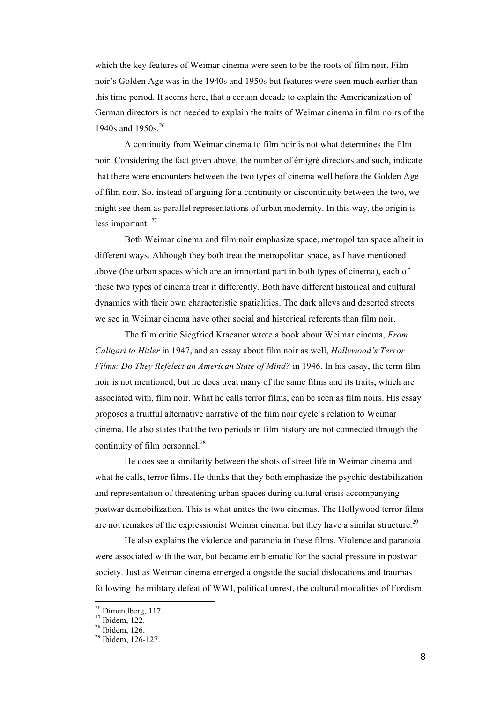which the key features of Weimar cinema were seen to be the roots of film noir. Film noir's Golden Age was in the 1940s and 1950s but features were seen much earlier than this time period. It seems here, that a certain decade to explain the Americanization of German directors is not needed to explain the traits of Weimar cinema in film noirs of the 1940s and 1950s.<sup>26</sup>

A continuity from Weimar cinema to film noir is not what determines the film noir. Considering the fact given above, the number of émigré directors and such, indicate that there were encounters between the two types of cinema well before the Golden Age of film noir. So, instead of arguing for a continuity or discontinuity between the two, we might see them as parallel representations of urban modernity. In this way, the origin is less important.<sup>27</sup>

Both Weimar cinema and film noir emphasize space, metropolitan space albeit in different ways. Although they both treat the metropolitan space, as I have mentioned above (the urban spaces which are an important part in both types of cinema), each of these two types of cinema treat it differently. Both have different historical and cultural dynamics with their own characteristic spatialities. The dark alleys and deserted streets we see in Weimar cinema have other social and historical referents than film noir.

The film critic Siegfried Kracauer wrote a book about Weimar cinema, *From Caligari to Hitler* in 1947, and an essay about film noir as well, *Hollywood's Terror Films: Do They Refelect an American State of Mind?* in 1946. In his essay, the term film noir is not mentioned, but he does treat many of the same films and its traits, which are associated with, film noir. What he calls terror films, can be seen as film noirs. His essay proposes a fruitful alternative narrative of the film noir cycle's relation to Weimar cinema. He also states that the two periods in film history are not connected through the continuity of film personnel. $^{28}$ 

He does see a similarity between the shots of street life in Weimar cinema and what he calls, terror films. He thinks that they both emphasize the psychic destabilization and representation of threatening urban spaces during cultural crisis accompanying postwar demobilization. This is what unites the two cinemas. The Hollywood terror films are not remakes of the expressionist Weimar cinema, but they have a similar structure.<sup>29</sup>

He also explains the violence and paranoia in these films. Violence and paranoia were associated with the war, but became emblematic for the social pressure in postwar society. Just as Weimar cinema emerged alongside the social dislocations and traumas following the military defeat of WWI, political unrest, the cultural modalities of Fordism,

<sup>&</sup>lt;sup>26</sup> Dimendberg, 117.<br><sup>27</sup> Ibidem, 122.<br><sup>28</sup> Ibidem, 126.<br><sup>29</sup> Ibidem, 126-127.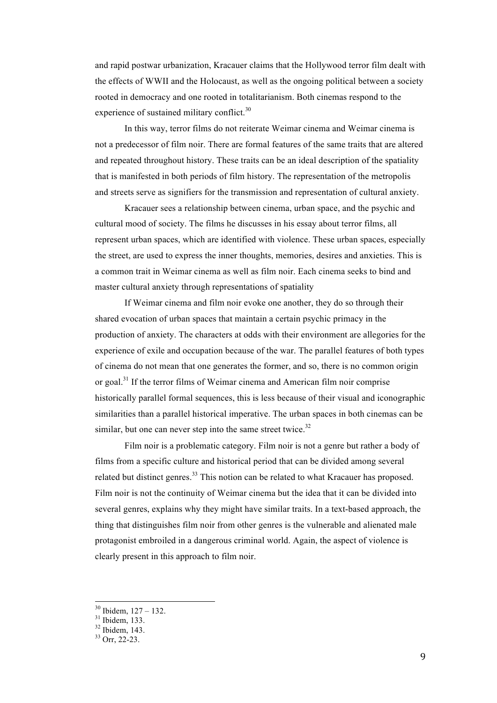and rapid postwar urbanization, Kracauer claims that the Hollywood terror film dealt with the effects of WWII and the Holocaust, as well as the ongoing political between a society rooted in democracy and one rooted in totalitarianism. Both cinemas respond to the experience of sustained military conflict.<sup>30</sup>

In this way, terror films do not reiterate Weimar cinema and Weimar cinema is not a predecessor of film noir. There are formal features of the same traits that are altered and repeated throughout history. These traits can be an ideal description of the spatiality that is manifested in both periods of film history. The representation of the metropolis and streets serve as signifiers for the transmission and representation of cultural anxiety.

Kracauer sees a relationship between cinema, urban space, and the psychic and cultural mood of society. The films he discusses in his essay about terror films, all represent urban spaces, which are identified with violence. These urban spaces, especially the street, are used to express the inner thoughts, memories, desires and anxieties. This is a common trait in Weimar cinema as well as film noir. Each cinema seeks to bind and master cultural anxiety through representations of spatiality

If Weimar cinema and film noir evoke one another, they do so through their shared evocation of urban spaces that maintain a certain psychic primacy in the production of anxiety. The characters at odds with their environment are allegories for the experience of exile and occupation because of the war. The parallel features of both types of cinema do not mean that one generates the former, and so, there is no common origin or goal.<sup>31</sup> If the terror films of Weimar cinema and American film noir comprise historically parallel formal sequences, this is less because of their visual and iconographic similarities than a parallel historical imperative. The urban spaces in both cinemas can be similar, but one can never step into the same street twice.<sup>32</sup>

Film noir is a problematic category. Film noir is not a genre but rather a body of films from a specific culture and historical period that can be divided among several related but distinct genres.<sup>33</sup> This notion can be related to what Kracauer has proposed. Film noir is not the continuity of Weimar cinema but the idea that it can be divided into several genres, explains why they might have similar traits. In a text-based approach, the thing that distinguishes film noir from other genres is the vulnerable and alienated male protagonist embroiled in a dangerous criminal world. Again, the aspect of violence is clearly present in this approach to film noir.

<sup>&</sup>lt;sup>30</sup> Ibidem, 127 – 132.<br><sup>31</sup> Ibidem, 133.<br><sup>32</sup> Ibidem, 143.<br><sup>33</sup> Orr, 22-23.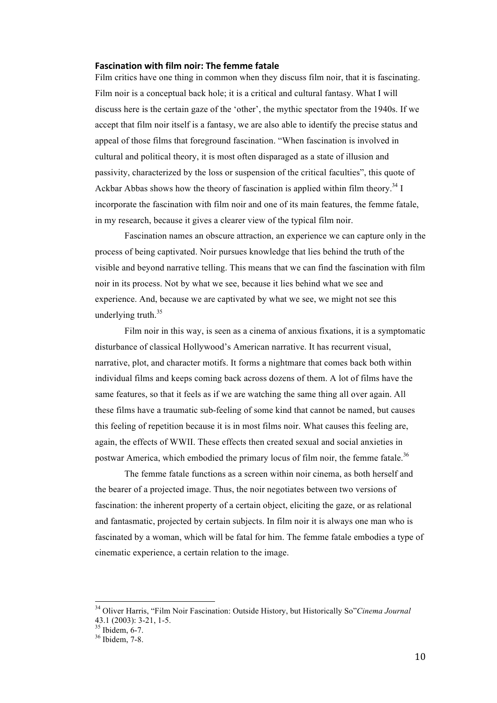#### **Fascination with film noir: The femme fatale**

Film critics have one thing in common when they discuss film noir, that it is fascinating. Film noir is a conceptual back hole; it is a critical and cultural fantasy. What I will discuss here is the certain gaze of the 'other', the mythic spectator from the 1940s. If we accept that film noir itself is a fantasy, we are also able to identify the precise status and appeal of those films that foreground fascination. "When fascination is involved in cultural and political theory, it is most often disparaged as a state of illusion and passivity, characterized by the loss or suspension of the critical faculties", this quote of Ackbar Abbas shows how the theory of fascination is applied within film theory.<sup>34</sup> I incorporate the fascination with film noir and one of its main features, the femme fatale, in my research, because it gives a clearer view of the typical film noir.

Fascination names an obscure attraction, an experience we can capture only in the process of being captivated. Noir pursues knowledge that lies behind the truth of the visible and beyond narrative telling. This means that we can find the fascination with film noir in its process. Not by what we see, because it lies behind what we see and experience. And, because we are captivated by what we see, we might not see this underlying truth.<sup>35</sup>

Film noir in this way, is seen as a cinema of anxious fixations, it is a symptomatic disturbance of classical Hollywood's American narrative. It has recurrent visual, narrative, plot, and character motifs. It forms a nightmare that comes back both within individual films and keeps coming back across dozens of them. A lot of films have the same features, so that it feels as if we are watching the same thing all over again. All these films have a traumatic sub-feeling of some kind that cannot be named, but causes this feeling of repetition because it is in most films noir. What causes this feeling are, again, the effects of WWII. These effects then created sexual and social anxieties in postwar America, which embodied the primary locus of film noir, the femme fatale.<sup>36</sup>

The femme fatale functions as a screen within noir cinema, as both herself and the bearer of a projected image. Thus, the noir negotiates between two versions of fascination: the inherent property of a certain object, eliciting the gaze, or as relational and fantasmatic, projected by certain subjects. In film noir it is always one man who is fascinated by a woman, which will be fatal for him. The femme fatale embodies a type of cinematic experience, a certain relation to the image.

 <sup>34</sup> Oliver Harris, "Film Noir Fascination: Outside History, but Historically So"*Cinema Journal* 43.1 (2003): 3-21, 1-5.<br><sup>35</sup> Ibidem, 6-7.<br><sup>36</sup> Ibidem, 7-8.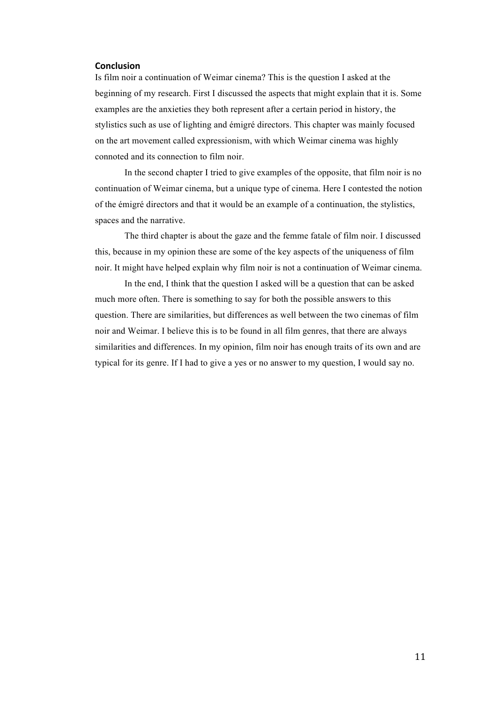#### **Conclusion**

Is film noir a continuation of Weimar cinema? This is the question I asked at the beginning of my research. First I discussed the aspects that might explain that it is. Some examples are the anxieties they both represent after a certain period in history, the stylistics such as use of lighting and émigré directors. This chapter was mainly focused on the art movement called expressionism, with which Weimar cinema was highly connoted and its connection to film noir.

In the second chapter I tried to give examples of the opposite, that film noir is no continuation of Weimar cinema, but a unique type of cinema. Here I contested the notion of the émigré directors and that it would be an example of a continuation, the stylistics, spaces and the narrative.

The third chapter is about the gaze and the femme fatale of film noir. I discussed this, because in my opinion these are some of the key aspects of the uniqueness of film noir. It might have helped explain why film noir is not a continuation of Weimar cinema.

In the end, I think that the question I asked will be a question that can be asked much more often. There is something to say for both the possible answers to this question. There are similarities, but differences as well between the two cinemas of film noir and Weimar. I believe this is to be found in all film genres, that there are always similarities and differences. In my opinion, film noir has enough traits of its own and are typical for its genre. If I had to give a yes or no answer to my question, I would say no.